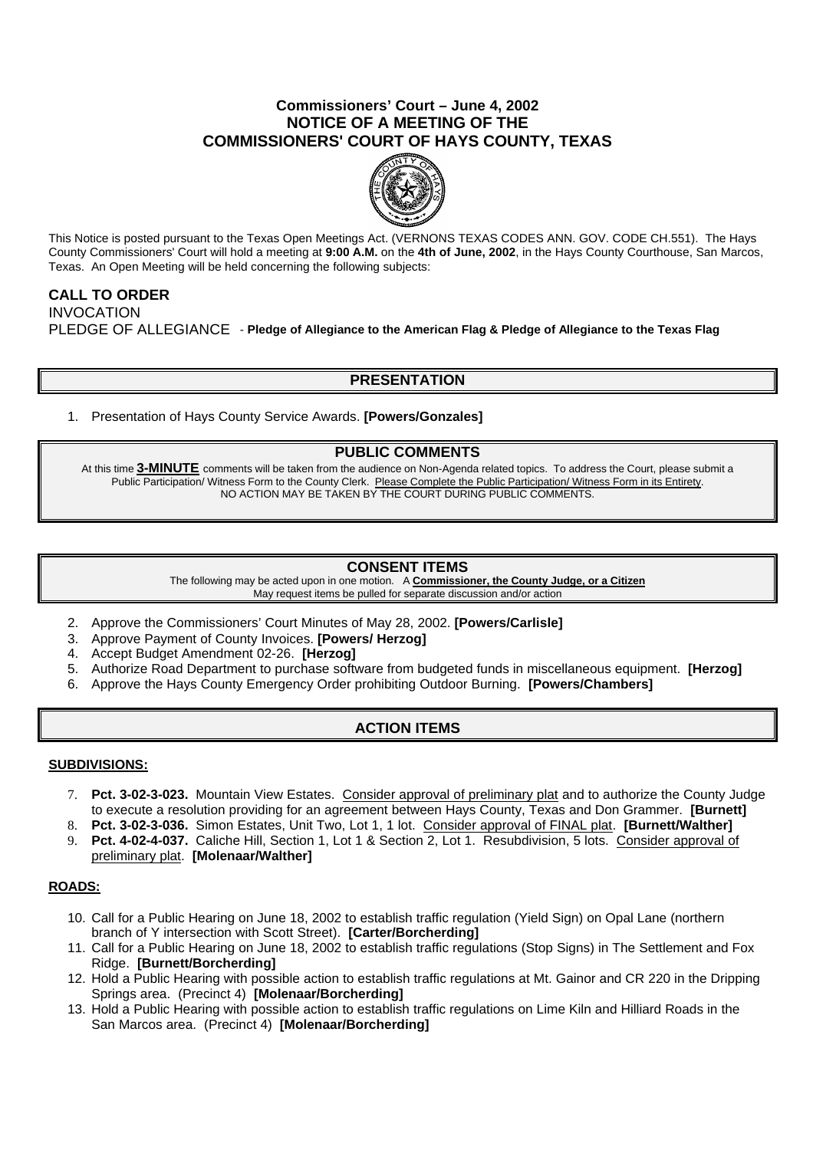## **Commissioners' Court – June 4, 2002 NOTICE OF A MEETING OF THE COMMISSIONERS' COURT OF HAYS COUNTY, TEXAS**



This Notice is posted pursuant to the Texas Open Meetings Act. (VERNONS TEXAS CODES ANN. GOV. CODE CH.551). The Hays County Commissioners' Court will hold a meeting at **9:00 A.M.** on the **4th of June, 2002**, in the Hays County Courthouse, San Marcos, Texas. An Open Meeting will be held concerning the following subjects:

# **CALL TO ORDER**  INVOCATION PLEDGE OF ALLEGIANCE - **Pledge of Allegiance to the American Flag & Pledge of Allegiance to the Texas Flag**

# **PRESENTATION**

1. Presentation of Hays County Service Awards. **[Powers/Gonzales]**

## **PUBLIC COMMENTS**

At this time **3-MINUTE** comments will be taken from the audience on Non-Agenda related topics. To address the Court, please submit a Public Participation/ Witness Form to the County Clerk. Please Complete the Public Participation/ Witness Form in its Entirety. NO ACTION MAY BE TAKEN BY THE COURT DURING PUBLIC COMMENTS.

### **CONSENT ITEMS**

The following may be acted upon in one motion. A **Commissioner, the County Judge, or a Citizen** May request items be pulled for separate discussion and/or action

- 2. Approve the Commissioners' Court Minutes of May 28, 2002. **[Powers/Carlisle]**
- 3. Approve Payment of County Invoices. **[Powers/ Herzog]**
- 4. Accept Budget Amendment 02-26. **[Herzog]**
- 5. Authorize Road Department to purchase software from budgeted funds in miscellaneous equipment. **[Herzog]**
- 6. Approve the Hays County Emergency Order prohibiting Outdoor Burning. **[Powers/Chambers]**

## **ACTION ITEMS**

### **SUBDIVISIONS:**

- 7. **Pct. 3-02-3-023.** Mountain View Estates. Consider approval of preliminary plat and to authorize the County Judge to execute a resolution providing for an agreement between Hays County, Texas and Don Grammer. **[Burnett]**
- 8. **Pct. 3-02-3-036.** Simon Estates, Unit Two, Lot 1, 1 lot. Consider approval of FINAL plat. **[Burnett/Walther]**
- 9. **Pct. 4-02-4-037.** Caliche Hill, Section 1, Lot 1 & Section 2, Lot 1. Resubdivision, 5 lots. Consider approval of preliminary plat. **[Molenaar/Walther]**

#### **ROADS:**

- 10. Call for a Public Hearing on June 18, 2002 to establish traffic regulation (Yield Sign) on Opal Lane (northern branch of Y intersection with Scott Street). **[Carter/Borcherding]**
- 11. Call for a Public Hearing on June 18, 2002 to establish traffic regulations (Stop Signs) in The Settlement and Fox Ridge. **[Burnett/Borcherding]**
- 12. Hold a Public Hearing with possible action to establish traffic regulations at Mt. Gainor and CR 220 in the Dripping Springs area. (Precinct 4) **[Molenaar/Borcherding]**
- 13. Hold a Public Hearing with possible action to establish traffic regulations on Lime Kiln and Hilliard Roads in the San Marcos area. (Precinct 4) **[Molenaar/Borcherding]**